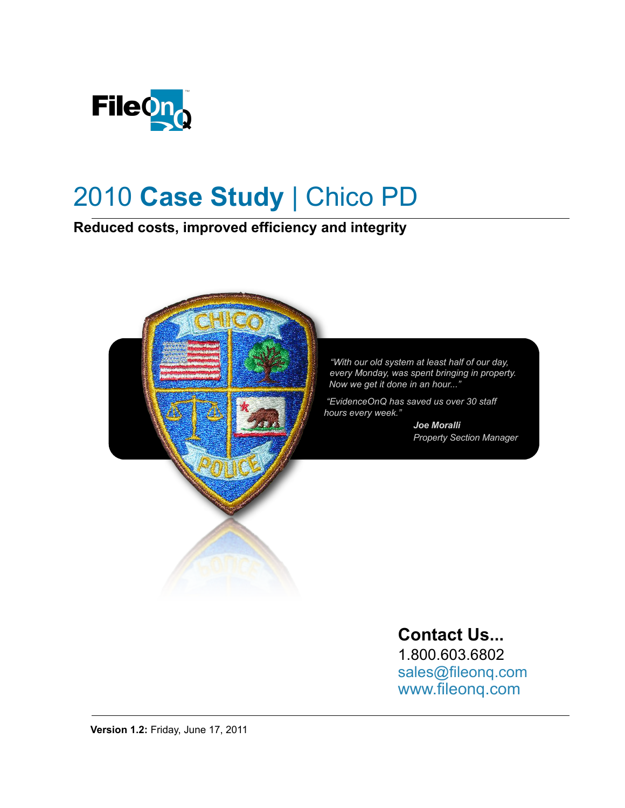

# 2010 **Case Study** | Chico PD

**Reduced costs, improved efficiency and integrity**



### **Contact Us...**

1.800.603.6802 [sales@fileonq.com](mailto:Sales@fileonq.com?subject=Requesting%20more%20Information) [www.fileonq.com](http://www.fileonq.com)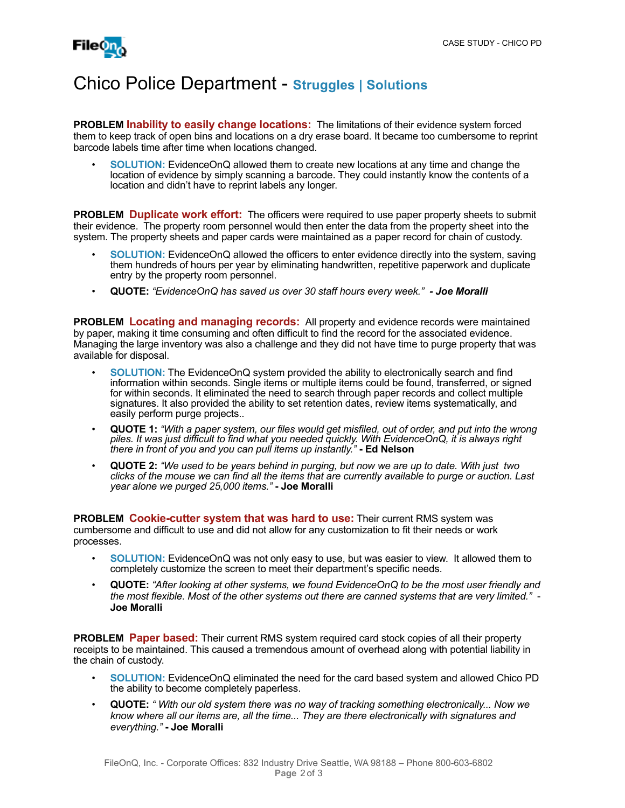

#### Chico Police Department - **Struggles | Solutions**

**PROBLEM Inability to easily change locations:** The limitations of their evidence system forced them to keep track of open bins and locations on a dry erase board. It became too cumbersome to reprint barcode labels time after time when locations changed.

• **SOLUTION:** EvidenceOnQ allowed them to create new locations at any time and change the location of evidence by simply scanning a barcode. They could instantly know the contents of a location and didn't have to reprint labels any longer.

**PROBLEM Duplicate work effort:** The officers were required to use paper property sheets to submit their evidence. The property room personnel would then enter the data from the property sheet into the system. The property sheets and paper cards were maintained as a paper record for chain of custody.

- **SOLUTION:** EvidenceOnQ allowed the officers to enter evidence directly into the system, saving them hundreds of hours per year by eliminating handwritten, repetitive paperwork and duplicate entry by the property room personnel.
- **QUOTE:** *"EvidenceOnQ has saved us over 30 staff hours every week." Joe Moralli*

**PROBLEM Locating and managing records:** All property and evidence records were maintained by paper, making it time consuming and often difficult to find the record for the associated evidence. Managing the large inventory was also a challenge and they did not have time to purge property that was available for disposal.

- **SOLUTION:** The EvidenceOnQ system provided the ability to electronically search and find information within seconds. Single items or multiple items could be found, transferred, or signed for within seconds. It eliminated the need to search through paper records and collect multiple signatures. It also provided the ability to set retention dates, review items systematically, and easily perform purge projects..
- **QUOTE 1:** *"With a paper system, our files would get misfiled, out of order, and put into the wrong piles. It was just difficult to find what you needed quickly. With EvidenceOnQ, it is always right there in front of you and you can pull items up instantly."* **- Ed Nelson**
- **QUOTE 2:** *"We used to be years behind in purging, but now we are up to date. With just two clicks of the mouse we can find all the items that are currently available to purge or auction. Last year alone we purged 25,000 items."* **- Joe Moralli**

**PROBLEM Cookie-cutter system that was hard to use:** Their current RMS system was cumbersome and difficult to use and did not allow for any customization to fit their needs or work processes.

- **SOLUTION:** EvidenceOnQ was not only easy to use, but was easier to view. It allowed them to completely customize the screen to meet their department's specific needs.
- **QUOTE:** *"After looking at other systems, we found EvidenceOnQ to be the most user friendly and the most flexible. Most of the other systems out there are canned systems that are very limited."* - **Joe Moralli**

**PROBLEM Paper based:** Their current RMS system required card stock copies of all their property receipts to be maintained. This caused a tremendous amount of overhead along with potential liability in the chain of custody.

- **SOLUTION:** EvidenceOnQ eliminated the need for the card based system and allowed Chico PD the ability to become completely paperless.
- **QUOTE:** *" With our old system there was no way of tracking something electronically... Now we know where all our items are, all the time... They are there electronically with signatures and everything."* **- Joe Moralli**